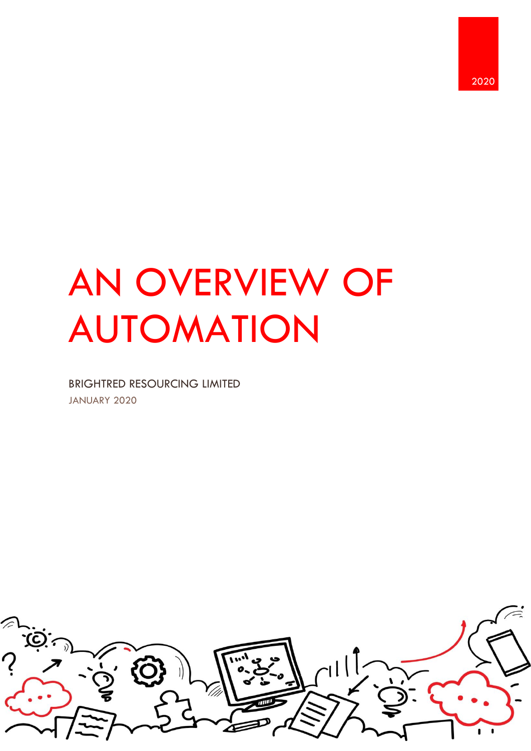# AN OVERVIEW OF AUTOMATION

BRIGHTRED RESOURCING LIMITED JANUARY 2020

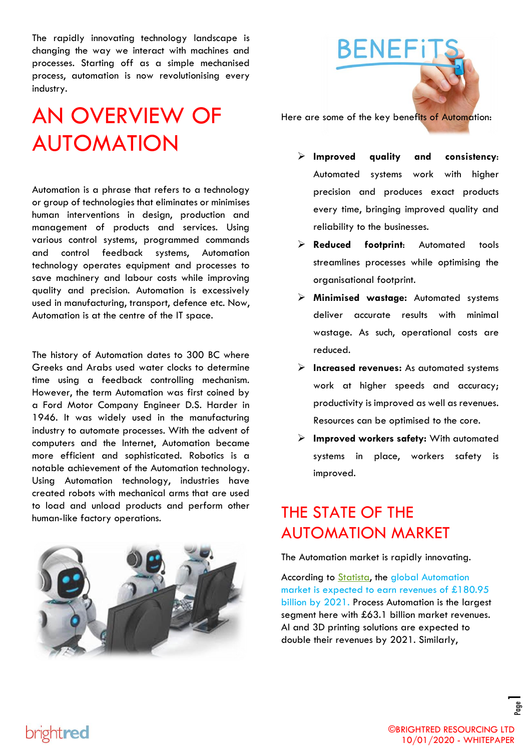The rapidly innovating technology landscape is changing the way we interact with machines and processes. Starting off as a simple mechanised process, automation is now revolutionising every industry.

# AN OVERVIEW OF AUTOMATION

Automation is a phrase that refers to a technology or group of technologies that eliminates or minimises human interventions in design, production and management of products and services. Using various control systems, programmed commands and control feedback systems, Automation technology operates equipment and processes to save machinery and labour costs while improving quality and precision. Automation is excessively used in manufacturing, transport, defence etc. Now, Automation is at the centre of the IT space.

The history of Automation dates to 300 BC where Greeks and Arabs used water clocks to determine time using a feedback controlling mechanism. However, the term Automation was first coined by a Ford Motor Company Engineer D.S. Harder in 1946. It was widely used in the manufacturing industry to automate processes. With the advent of computers and the Internet, Automation became more efficient and sophisticated. Robotics is a notable achievement of the Automation technology. Using Automation technology, industries have created robots with mechanical arms that are used to load and unload products and perform other human-like factory operations.





Here are some of the key benefits of Automation:

- ➢ **Improved quality and consistency**: Automated systems work with higher precision and produces exact products every time, bringing improved quality and reliability to the businesses.
- ➢ **Reduced footprint**: Automated tools streamlines processes while optimising the organisational footprint.
- ➢ **Minimised wastage:** Automated systems deliver accurate results with minimal wastage. As such, operational costs are reduced.
- ➢ **Increased revenues:** As automated systems work at higher speeds and accuracy; productivity is improved as well as revenues. Resources can be optimised to the core.
- ➢ **Improved workers safety:** With automated systems in place, workers safety is improved.

## THE STATE OF THE AUTOMATION MARKET

The Automation market is rapidly innovating.

According to **Statista**, the global Automation market is expected to earn revenues of £180.95 billion by 2021. Process Automation is the largest segment here with £63.1 billion market revenues. AI and 3D printing solutions are expected to double their revenues by 2021. Similarly,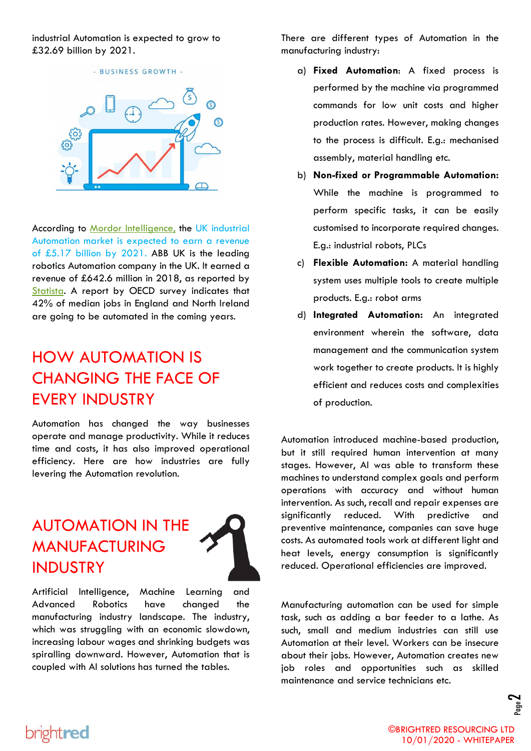industrial Automation is expected to grow to £32.69 billion by 2021.



According to [Mordor Intelligence,](https://www.mordorintelligence.com/industry-reports/uk-factory-automation-and-industrial-controls-market) the UK industrial Automation market is expected to earn a revenue of £5.17 billion by 2021. ABB UK is the leading robotics Automation company in the UK. It earned a revenue of £642.6 million in 2018, as reported by [Statista.](https://www.statista.com/topics/4900/industrial-machinery-and-automation-in-the-uk/) A report by OECD survey indicates that 42% of median jobs in England and North Ireland are going to be automated in the coming years.

## HOW AUTOMATION IS CHANGING THE FACE OF EVERY INDUSTRY

Automation has changed the way businesses operate and manage productivity. While it reduces time and costs, it has also improved operational efficiency. Here are how industries are fully levering the Automation revolution.

## AUTOMATION IN THE MANUFACTURING INDUSTRY

brightred



Artificial Intelligence, Machine Learning and Advanced Robotics have changed the manufacturing industry landscape. The industry, which was struggling with an economic slowdown, increasing labour wages and shrinking budgets was spiralling downward. However, Automation that is coupled with AI solutions has turned the tables.

There are different types of Automation in the manufacturing industry:

- a) **Fixed Automation**: A fixed process is performed by the machine via programmed commands for low unit costs and higher production rates. However, making changes to the process is difficult. E.g.: mechanised assembly, material handling etc.
- b) **Non-fixed or Programmable Automation:**  While the machine is programmed to perform specific tasks, it can be easily customised to incorporate required changes. E.g.: industrial robots, PLCs
- c) **Flexible Automation:** A material handling system uses multiple tools to create multiple products. E.g.: robot arms
- d) **Integrated Automation:** An integrated environment wherein the software, data management and the communication system work together to create products. It is highly efficient and reduces costs and complexities of production.

Automation introduced machine-based production, but it still required human intervention at many stages. However, AI was able to transform these machines to understand complex goals and perform operations with accuracy and without human intervention. As such, recall and repair expenses are significantly reduced. With predictive and preventive maintenance, companies can save huge costs. As automated tools work at different light and heat levels, energy consumption is significantly reduced. Operational efficiencies are improved.

Manufacturing automation can be used for simple task, such as adding a bar feeder to a lathe. As such, small and medium industries can still use Automation at their level. Workers can be insecure about their jobs. However, Automation creates new job roles and opportunities such as skilled maintenance and service technicians etc.

់ខ្លា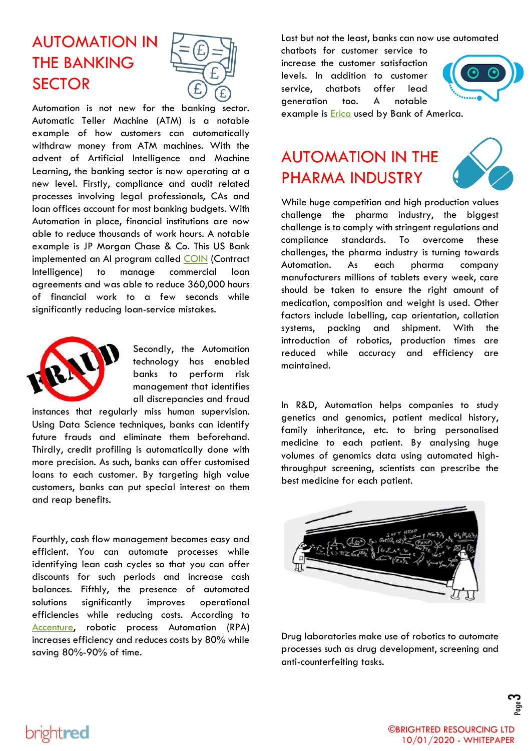# AUTOMATION IN THE BANKING **SECTOR**



Automation is not new for the banking sector. Automatic Teller Machine (ATM) is a notable example of how customers can automatically withdraw money from ATM machines. With the advent of Artificial Intelligence and Machine Learning, the banking sector is now operating at a new level. Firstly, compliance and audit related processes involving legal professionals, CAs and loan offices account for most banking budgets. With Automation in place, financial institutions are now able to reduce thousands of work hours. A notable example is JP Morgan Chase & Co. This US Bank implemented an AI program called [COIN](https://futurism.com/an-ai-completed-360000-hours-of-finance-work-in-just-seconds) (Contract Intelligence) to manage commercial loan agreements and was able to reduce 360,000 hours of financial work to a few seconds while significantly reducing loan-service mistakes.



Secondly, the Automation technology has enabled banks to perform risk management that identifies all discrepancies and fraud

instances that regularly miss human supervision. Using Data Science techniques, banks can identify future frauds and eliminate them beforehand. Thirdly, credit profiling is automatically done with more precision. As such, banks can offer customised loans to each customer. By targeting high value customers, banks can put special interest on them and reap benefits.

Fourthly, cash flow management becomes easy and efficient. You can automate processes while identifying lean cash cycles so that you can offer discounts for such periods and increase cash balances. Fifthly, the presence of automated solutions significantly improves operational efficiencies while reducing costs. According to [Accenture,](https://www.accenture.com/no-en/insight-financial-services-robotic-process-automation) robotic process Automation (RPA) increases efficiency and reduces costs by 80% while saving 80%-90% of time.

Last but not the least, banks can now use automated

chatbots for customer service to increase the customer satisfaction levels. In addition to customer service, chatbots offer lead generation too. A notable



example is **Erica** used by Bank of America.

#### AUTOMATION IN THE PHARMA INDUSTRY



While huge competition and high production values challenge the pharma industry, the biggest challenge is to comply with stringent regulations and compliance standards. To overcome these challenges, the pharma industry is turning towards Automation. As each pharma company manufacturers millions of tablets every week, care should be taken to ensure the right amount of medication, composition and weight is used. Other factors include labelling, cap orientation, collation systems, packing and shipment. With the introduction of robotics, production times are reduced while accuracy and efficiency are maintained.

In R&D, Automation helps companies to study genetics and genomics, patient medical history, family inheritance, etc. to bring personalised medicine to each patient. By analysing huge volumes of genomics data using automated highthroughput screening, scientists can prescribe the best medicine for each patient.



Drug laboratories make use of robotics to automate processes such as drug development, screening and anti-counterfeiting tasks.

#### brightred

ო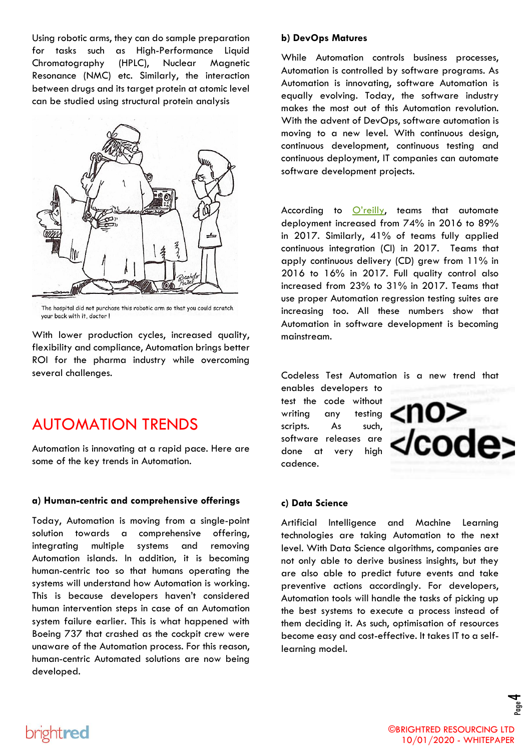Using robotic arms, they can do sample preparation for tasks such as High-Performance Liquid Chromatography (HPLC), Nuclear Magnetic Resonance (NMC) etc. Similarly, the interaction between drugs and its target protein at atomic level can be studied using structural protein analysis



The hospital did not purchase this robotic arm so that you could scratch your back with it, doctor !

With lower production cycles, increased quality, flexibility and compliance, Automation brings better ROI for the pharma industry while overcoming several challenges.

#### AUTOMATION TRENDS

Automation is innovating at a rapid pace. Here are some of the key trends in Automation.

#### **a) Human-centric and comprehensive offerings**

Today, Automation is moving from a single-point solution towards a comprehensive offering, integrating multiple systems and removing Automation islands. In addition, it is becoming human-centric too so that humans operating the systems will understand how Automation is working. This is because developers haven't considered human intervention steps in case of an Automation system failure earlier. This is what happened with Boeing 737 that crashed as the cockpit crew were unaware of the Automation process. For this reason, human-centric Automated solutions are now being developed.

#### **b) DevOps Matures**

While Automation controls business processes, Automation is controlled by software programs. As Automation is innovating, software Automation is equally evolving. Today, the software industry makes the most out of this Automation revolution. With the advent of DevOps, software automation is moving to a new level. With continuous design, continuous development, continuous testing and continuous deployment, IT companies can automate software development projects.

According to [O'reilly](https://www.oreilly.com/ideas/5-automation-trends-in-software-development-quantified), teams that automate deployment increased from 74% in 2016 to 89% in 2017. Similarly, 41% of teams fully applied continuous integration (CI) in 2017. Teams that apply continuous delivery (CD) grew from 11% in 2016 to 16% in 2017. Full quality control also increased from 23% to 31% in 2017. Teams that use proper Automation regression testing suites are increasing too. All these numbers show that Automation in software development is becoming mainstream.

Codeless Test Automation is a new trend that

enables developers to test the code without writing any testing scripts. As such, software releases are done at very high cadence.



#### **c) Data Science**

Artificial Intelligence and Machine Learning technologies are taking Automation to the next level. With Data Science algorithms, companies are not only able to derive business insights, but they are also able to predict future events and take preventive actions accordingly. For developers, Automation tools will handle the tasks of picking up the best systems to execute a process instead of them deciding it. As such, optimisation of resources become easy and cost-effective. It takes IT to a selflearning model.

4

# brightred